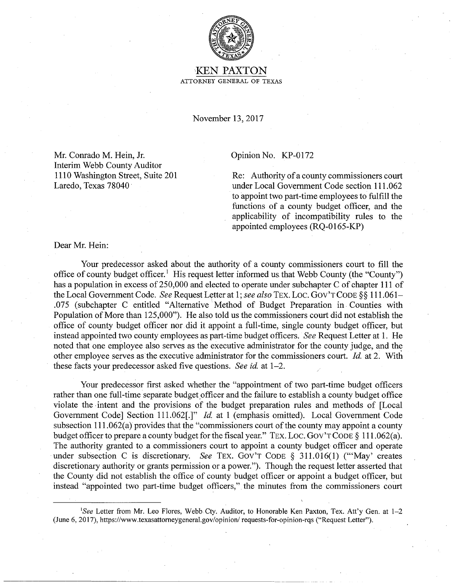

**KEN PAXTON** ATTORNEY GENERAL OF TEXAS

November 13, 2017

Mr. Conrado M. Hein, Jr. Interim Webb County Auditor 1110 Washington Street, Suite 201 Laredo, Texas 78040

## Opinion No. KP-0172

Re: Authority of a county commissioners court under Local Government Code section 111.062 to appoint two part-time employees to fulfill the functions of a county budget officer, and the applicability of incompatibility rules to the appointed employees (RQ-0165-KP)

Dear Mr. Hein:

Your predecessor asked about the authority of a county commissioners court to fill the office of county budget officer.<sup>1</sup> His request letter informed us that Webb County (the "County") has a population in excess of 250,000 and elected to operate under subchapter C of chapter 111 of the Local Government Code. *See* Request Letter at 1; *see also* TEX. Loc. GOV'T CODE §§ 111.061-.075 (subchapter C entitled "Alternative Method of Budget Preparation in Counties with Population of More than 125,000"). He also told us the commissioners court did not establish the office of county budget officer nor did it appoint a full-time, single county budget officer, but instead appointed two county employees as part-time budget officers. *See* Request Letter at 1. He noted that one employee also serves as the executive administrator for the county judge, and the other employee serves as the executive administrator for the commissioners court. *Id.* at 2. With these facts your predecessor asked five questions. *see id.* at 1-2.

Your predecessor first asked whether the "appointment of two part-time budget officers rather than one full-time separate budget officer and the failure to establish a county budget office violate the ·intent and the provisions of the budget preparation rules and methods of [Local Government Code] Section 111.062[.]" *Id.* at 1 (emphasis omitted). Local Government Code subsection  $111.062(a)$  provides that the "commissioners court of the county may appoint a county budget officer to prepare a county budget for the fiscal year." TEX. LOC. GOV'T CODE § 111.062(a). 'fhe authority granted to a commissioners court to appoint a county budget officer and operate under subsection C is discretionary. *See* TEX. Gov'T CODE § 311.016(1) ('"May' creates discretionary authority or grants permission or a power."). Though the request letter asserted that the County did not establish the office of county budget officer or appoint a budget officer, but instead "appointed two part-time budget officers," the minutes from the commissioners court

See Letter from Mr. Leo Flores, Webb Cty. Auditor, to Honorable Ken Paxton, Tex. Att'y Gen. at 1-2 (June 6, 2017), https://www.texasattomeygeneral.gov/opinion/ requests-for-opinion-rqs ("Request Letter").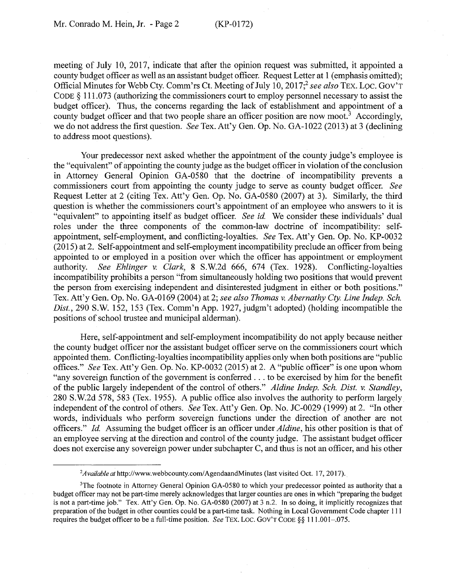meeting of July 10, 2017, indicate that after the opinion request was submitted, it appointed a county budget officer as well as an assistant budget officer. Request Letter at 1 (emphasis omitted); Official Minutes for Webb Cty. Comm'rs Ct. Meeting of July 10, 2017;2 *see also* TEX. Loe. Gov'T CODE § 111.073 (authorizing the commissioners court to employ personnel necessary to assist the budget officer). Thus, the concerns regarding the lack of establishment and appointment of a county budget officer and that two people share an officer position are now moot.<sup>3</sup> Accordingly, we do not address the first question. *See* Tex. Att'y Gen. Op. No. GA-1022 (2013) at 3 (declining to address moot questions).

Your predecessor next asked whether the appointment of the county judge's employee is the "equivalent" of appointing the county judge as the budget officer in violation of the conclusion in Attorney General Opinion GA-0580 that the doctrine of incompatibility prevents a commissioners court from appointing the county judge to serve as county budget officer. *See*  Request Letter at 2 (citing Tex. Att'y Gen. Op. No. GA-0580 (2007) at 3). Similarly, the third question is whether the commissioners court's appointment of an employee who answers to it is "equivalent" to appointing itself as budget officer. *See id*. We consider these individuals' dual roles under the three components of the common-law doctrine of incompatibility: selfappointment, self-employment, and conflicting-loyalties. *See* Tex. Att'y Gen. Op. No. KP-0032 (2015) at 2. Self-appointment and self-employment incompatibility preclude an officer from being appointed to or employed in a position over which the officer has appointment or employment authority. *See Ehlinger v. Clark,* 8 S.W.2d 666, 674 (Tex. 1928). Conflicting-loyalties incompatibility prohibits a person "from simultaneously holding two positions that would prevent the person from exercising independent and disinterested judgment in either or both positions." Tex. Att'y Gen. Op. No. GA-0169 (2004) at 2; *see also Thomas v. Abernathy Cty. Line Indep. Sch.*  Dist., 290 S.W. 152, 153 (Tex. Comm'n App. 1927, judgm't adopted) (holding incompatible the positions of school trustee and municipal alderman).

Here, self-appointment and self-employment incompatibility do not apply because neither the county budget officer nor the assistant budget officer serve on the commissioners court which appointed them. Conflicting-loyalties incompatibility applies only when both positions are "public offices." *See* Tex. Att'y Gen. Op. No. KP-0032 (2015) at 2. A "public officer" is one upon whom "any sovereign function of the government is conferred ... to be exercised by him for the benefit of the public largely independent of the control of others." *A/dine Indep. Sch. Dist. v. Standley,*  280 S.W.2d 578, 583 (Tex. 1955). A public office also involves the authority to perform largely independent of the control of others. *See* Tex. Att'y Gen. Op. No. JC-0029 (1999) at 2. "In other words, individuals who perform sovereign functions under the direction of another are not officers." *Id* Assuming the budget officer is an officer under *A/dine,* his other position is that of an employee serving at the direction and control of the county judge. The assistant budget officer does not exercise any sovereign power under subchapter C, and thus is not an officer, and his other

<sup>&</sup>lt;sup>2</sup>Available at http://www.webbcounty.com/AgendaandMinutes (last visited Oct. 17, 2017).

<sup>&</sup>lt;sup>3</sup>The footnote in Attorney General Opinion GA-0580 to which your predecessor pointed as authority that a budget officer may not be part-time merely acknowledges that larger counties are ones in which "preparing the budget is not a part-time job." Tex. Att'y Gen. Op. No. GA-0580 (2007) at 3 n.2. In so doing, it implicitly recognizes that preparation of the budget in other counties could be a part-time task. Nothing in Local Government Code chapter 111 requires the budget officer to be a full-time position. *See* TEX. LOC. GOV'T CODE §§ 111.001-.075.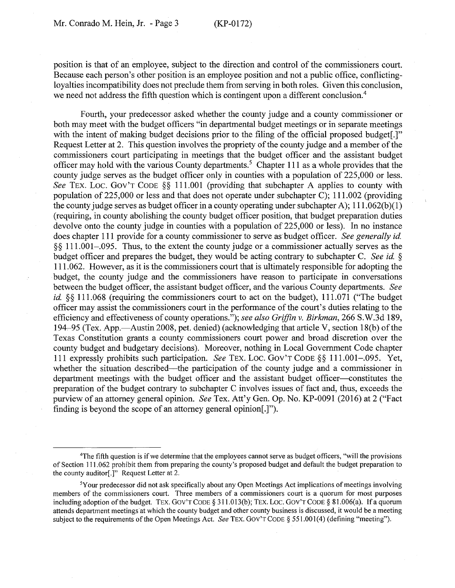position is that of an employee, subject to the direction and control of the commissioners court. Because each person's other position is an employee position and not a public office, conflictingloyalties incompatibility does not preclude them from serving in both roles. Given this conclusion, we need not address the fifth question which is contingent upon a different conclusion.<sup>4</sup>

Fourth, your predecessor asked whether the county judge and a county commissioner or both may meet with the budget officers "in departmental budget meetings or in separate meetings with the intent of making budget decisions prior to the filing of the official proposed budget.]" Request Letter at 2. This question involves the propriety of the county judge and a member of the commissioners court participating in meetings that the budget officer and the assistant budget officer may hold with the various County departments. 5 Chapter **111** as a whole provides that the county judge serves as the budget officer only in counties with a population of 225,000 or less. See TEX. LOC. GOV'T CODE §§ 111.001 (providing that subchapter A applies to county with population of 225,000 or less and that does not operate under subchapter C); 111.002 (providing the county judge serves as budget officer in a county operating under subchapter A);  $111.062(b)(1)$ (requiring, in county abolishing the county budget officer position, that budget preparation duties devolve onto the county judge in counties with a population of 225,000 or less). In no instance does chapter 111 provide for a county commissioner to serve as budget officer. *See generally id.*  §§ 111.001-.095. Thus, to the extent the county judge or a commissioner actually serves as the budget officer and prepares the budget, they would be acting contrary to subchapter C. *See id.* § 111.062. However, as it is the commissioners court that is ultimately responsible for adopting the budget, the county judge and the commissioners have reason to participate in conversations between the budget officer, the assistant budget officer, and the various County departments. *See id.* §§ 111.068 (requiring the commissioners court to act on the budget), 111.071 ("The budget officer may assist the commissioners court in the performance of the court's duties relating to the efficiency and effectiveness of county operations."); *see also Griffin v. Birkman,* 266 S.W.3d 189, 194–95 (Tex. App.—Austin 2008, pet. denied) (acknowledging that article V, section 18(b) of the Texas Constitution grants a county commissioners court power and broad discretion over the county budget and budgetary decisions). Moreover, nothing in Local Government Code chapter 111 expressly prohibits such participation. *See* TEX. Loe. Gov'T CODE§§ 111.001-.095. Yet, whether the situation described—the participation of the county judge and a commissioner in department meetings with the budget officer and the assistant budget officer-constitutes the preparation of the budget contrary to subchapter C involves issues of fact and, thus, exceeds the purview of an attorney general opinion. *See* Tex. Att'y Gen. Op. No. KP-0091 (2016) at 2 ("Fact finding is beyond the scope of an attorney general opinion[.]").

<sup>4</sup> The fifth question is if we determine that the employees cannot serve as budget officers, "will the provisions of Section 111.062 prohibit them from preparing the county's proposed budget and default the budget preparation to the county auditor[.]" Request Letter at 2.

<sup>5</sup>Your predecessor did not ask specifically about any Open Meetings Act implications of meetings involving members of the commissioners court. Three members of a commissioners court is a quorum for most purposes including adoption of the budget. TEX. GOV'T CODE  $\S 311.013(b)$ ; TEX. LOC. GOV'T CODE  $\S 81.006(a)$ . If a quorum attends department meetings at which the county budget and other county business is discussed, it would be a meeting subject to the requirements of the Open Meetings Act. *See* TEX. Gov'T CODE§ 551.001(4) (defining "meeting").